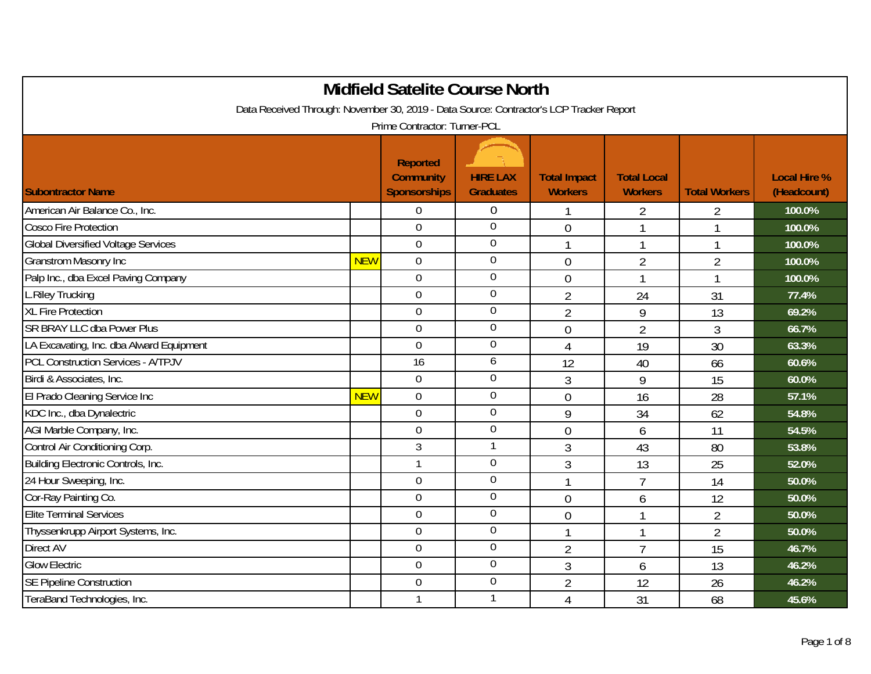| <b>Midfield Satelite Course North</b>                                                   |            |                                                            |                                     |                                       |                                      |                      |                                    |  |  |
|-----------------------------------------------------------------------------------------|------------|------------------------------------------------------------|-------------------------------------|---------------------------------------|--------------------------------------|----------------------|------------------------------------|--|--|
| Data Received Through: November 30, 2019 - Data Source: Contractor's LCP Tracker Report |            |                                                            |                                     |                                       |                                      |                      |                                    |  |  |
| Prime Contractor: Turner-PCL                                                            |            |                                                            |                                     |                                       |                                      |                      |                                    |  |  |
| <b>Subontractor Name</b>                                                                |            | <b>Reported</b><br><b>Community</b><br><b>Sponsorships</b> | <b>HIRE LAX</b><br><b>Graduates</b> | <b>Total Impact</b><br><b>Workers</b> | <b>Total Local</b><br><b>Workers</b> | <b>Total Workers</b> | <b>Local Hire %</b><br>(Headcount) |  |  |
| American Air Balance Co., Inc.                                                          |            | $\overline{0}$                                             | $\overline{0}$                      |                                       | 2                                    | $\overline{2}$       | 100.0%                             |  |  |
| <b>Cosco Fire Protection</b>                                                            |            | $\overline{0}$                                             | $\overline{0}$                      | $\overline{0}$                        |                                      |                      | 100.0%                             |  |  |
| <b>Global Diversified Voltage Services</b>                                              |            | $\overline{0}$                                             | $\overline{0}$                      |                                       | 1                                    | 1                    | 100.0%                             |  |  |
| <b>Granstrom Masonry Inc</b>                                                            | <b>NEW</b> | $\overline{0}$                                             | $\mathbf 0$                         | $\overline{0}$                        | $\overline{2}$                       | $\overline{2}$       | 100.0%                             |  |  |
| Palp Inc., dba Excel Paving Company                                                     |            | $\mathbf 0$                                                | $\boldsymbol{0}$                    | $\mathbf 0$                           |                                      | 1                    | 100.0%                             |  |  |
| <b>L.Riley Trucking</b>                                                                 |            | $\boldsymbol{0}$                                           | $\boldsymbol{0}$                    | $\overline{2}$                        | 24                                   | 31                   | 77.4%                              |  |  |
| <b>XL Fire Protection</b>                                                               |            | $\overline{0}$                                             | $\overline{0}$                      | $\overline{2}$                        | 9                                    | 13                   | 69.2%                              |  |  |
| <b>SR BRAY LLC dba Power Plus</b>                                                       |            | $\overline{0}$                                             | $\boldsymbol{0}$                    | $\mathbf 0$                           | $\overline{2}$                       | 3                    | 66.7%                              |  |  |
| LA Excavating, Inc. dba Alward Equipment                                                |            | $\overline{0}$                                             | $\boldsymbol{0}$                    | $\overline{4}$                        | 19                                   | 30                   | 63.3%                              |  |  |
| <b>PCL Construction Services - A/TPJV</b>                                               |            | 16                                                         | 6                                   | 12                                    | 40                                   | 66                   | 60.6%                              |  |  |
| Birdi & Associates, Inc.                                                                |            | $\mathbf 0$                                                | $\boldsymbol{0}$                    | $\mathfrak{Z}$                        | 9                                    | 15                   | 60.0%                              |  |  |
| El Prado Cleaning Service Inc                                                           | <b>NEW</b> | $\mathbf 0$                                                | $\boldsymbol{0}$                    | $\overline{0}$                        | 16                                   | 28                   | 57.1%                              |  |  |
| KDC Inc., dba Dynalectric                                                               |            | 0                                                          | $\mathbf 0$                         | 9                                     | 34                                   | 62                   | 54.8%                              |  |  |
| AGI Marble Company, Inc.                                                                |            | $\overline{0}$                                             | $\overline{0}$                      | $\mathbf 0$                           | 6                                    | 11                   | 54.5%                              |  |  |
| Control Air Conditioning Corp.                                                          |            | 3                                                          | $\mathbf{1}$                        | 3                                     | 43                                   | 80                   | 53.8%                              |  |  |
| Building Electronic Controls, Inc.                                                      |            | $\mathbf{1}$                                               | $\boldsymbol{0}$                    | 3                                     | 13                                   | 25                   | 52.0%                              |  |  |
| 24 Hour Sweeping, Inc.                                                                  |            | $\mathbf 0$                                                | $\mathbf 0$                         | 1                                     | $\overline{7}$                       | 14                   | 50.0%                              |  |  |
| Cor-Ray Painting Co.                                                                    |            | $\overline{0}$                                             | $\overline{0}$                      | $\overline{0}$                        | 6                                    | 12                   | 50.0%                              |  |  |
| <b>Elite Terminal Services</b>                                                          |            | $\mathbf 0$                                                | $\boldsymbol{0}$                    | $\overline{0}$                        | 1                                    | $\overline{2}$       | 50.0%                              |  |  |
| Thyssenkrupp Airport Systems, Inc.                                                      |            | 0                                                          | $\mathbf 0$                         |                                       | 1                                    | $\overline{2}$       | 50.0%                              |  |  |
| <b>Direct AV</b>                                                                        |            | $\overline{0}$                                             | $\overline{0}$                      | $\overline{2}$                        | $\overline{1}$                       | 15                   | 46.7%                              |  |  |
| <b>Glow Electric</b>                                                                    |            | $\mathbf 0$                                                | $\boldsymbol{0}$                    | 3                                     | 6                                    | 13                   | 46.2%                              |  |  |
| <b>SE Pipeline Construction</b>                                                         |            | $\mathbf 0$                                                | $\overline{0}$                      | $\overline{2}$                        | 12                                   | 26                   | 46.2%                              |  |  |
| TeraBand Technologies, Inc.                                                             |            | $\mathbf{1}$                                               | 1                                   | 4                                     | 31                                   | 68                   | 45.6%                              |  |  |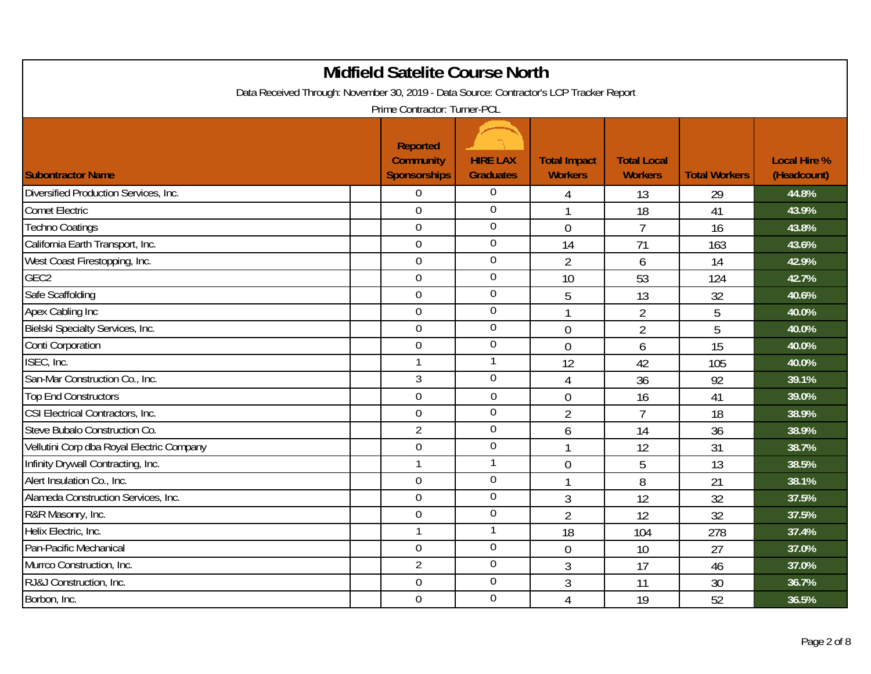| <b>Midfield Satelite Course North</b><br>Data Received Through: November 30, 2019 - Data Source: Contractor's LCP Tracker Report |  |                                                            |                                     |                                       |                                      |                      |                                    |  |  |
|----------------------------------------------------------------------------------------------------------------------------------|--|------------------------------------------------------------|-------------------------------------|---------------------------------------|--------------------------------------|----------------------|------------------------------------|--|--|
| Prime Contractor: Turner-PCL                                                                                                     |  |                                                            |                                     |                                       |                                      |                      |                                    |  |  |
| <b>Subontractor Name</b>                                                                                                         |  | <b>Reported</b><br><b>Community</b><br><b>Sponsorships</b> | <b>HIRE LAX</b><br><b>Graduates</b> | <b>Total Impact</b><br><b>Workers</b> | <b>Total Local</b><br><b>Workers</b> | <b>Total Workers</b> | <b>Local Hire %</b><br>(Headcount) |  |  |
| Diversified Production Services, Inc.                                                                                            |  | $\overline{0}$                                             | $\boldsymbol{0}$                    | 4                                     | 13                                   | 29                   | 44.8%                              |  |  |
| <b>Comet Electric</b>                                                                                                            |  | $\overline{0}$                                             | $\overline{0}$                      | $\mathbf{1}$                          | 18                                   | 41                   | 43.9%                              |  |  |
| <b>Techno Coatings</b>                                                                                                           |  | $\overline{0}$                                             | $\overline{0}$                      | $\mathbf 0$                           | $\overline{7}$                       | 16                   | 43.8%                              |  |  |
| California Earth Transport, Inc.                                                                                                 |  | $\mathbf 0$                                                | $\overline{0}$                      | 14                                    | 71                                   | 163                  | 43.6%                              |  |  |
| West Coast Firestopping, Inc.                                                                                                    |  | $\mathbf 0$                                                | $\mathbf 0$                         | $\overline{2}$                        | 6                                    | 14                   | 42.9%                              |  |  |
| GEC <sub>2</sub>                                                                                                                 |  | $\overline{0}$                                             | $\overline{0}$                      | 10                                    | 53                                   | 124                  | 42.7%                              |  |  |
| Safe Scaffolding                                                                                                                 |  | $\mathbf 0$                                                | $\boldsymbol{0}$                    | 5                                     | 13                                   | 32                   | 40.6%                              |  |  |
| Apex Cabling Inc                                                                                                                 |  | $\overline{0}$                                             | $\boldsymbol{0}$                    |                                       | $\overline{2}$                       | 5                    | 40.0%                              |  |  |
| Bielski Specialty Services, Inc.                                                                                                 |  | $\mathbf 0$                                                | $\boldsymbol{0}$                    | $\overline{0}$                        | $\overline{2}$                       | 5                    | 40.0%                              |  |  |
| Conti Corporation                                                                                                                |  | $\overline{0}$                                             | $\boldsymbol{0}$                    | $\overline{0}$                        | 6                                    | 15                   | 40.0%                              |  |  |
| ISEC, Inc.                                                                                                                       |  | 1                                                          | 1                                   | 12                                    | 42                                   | 105                  | 40.0%                              |  |  |
| San-Mar Construction Co., Inc.                                                                                                   |  | 3                                                          | $\overline{0}$                      | $\overline{4}$                        | 36                                   | 92                   | 39.1%                              |  |  |
| <b>Top End Constructors</b>                                                                                                      |  | $\overline{0}$                                             | $\overline{0}$                      | $\overline{0}$                        | 16                                   | 41                   | 39.0%                              |  |  |
| CSI Electrical Contractors, Inc.                                                                                                 |  | $\mathbf 0$                                                | $\overline{0}$                      | $\overline{2}$                        | $\overline{7}$                       | 18                   | 38.9%                              |  |  |
| Steve Bubalo Construction Co.                                                                                                    |  | $\overline{2}$                                             | $\overline{0}$                      | 6                                     | 14                                   | 36                   | 38.9%                              |  |  |
| Vellutini Corp dba Royal Electric Company                                                                                        |  | $\mathbf 0$                                                | $\boldsymbol{0}$                    | $\mathbf 1$                           | 12                                   | 31                   | 38.7%                              |  |  |
| Infinity Drywall Contracting, Inc.                                                                                               |  | $\mathbf{1}$                                               | 1                                   | $\overline{0}$                        | 5                                    | 13                   | 38.5%                              |  |  |
| Alert Insulation Co., Inc.                                                                                                       |  | $\mathbf 0$                                                | $\overline{0}$                      |                                       | 8                                    | 21                   | 38.1%                              |  |  |
| Alameda Construction Services, Inc.                                                                                              |  | $\overline{0}$                                             | $\mathbf 0$                         | 3                                     | 12                                   | 32                   | 37.5%                              |  |  |
| R&R Masonry, Inc.                                                                                                                |  | $\mathbf 0$                                                | $\boldsymbol{0}$                    | $\overline{2}$                        | 12                                   | 32                   | 37.5%                              |  |  |
| Helix Electric, Inc.                                                                                                             |  | $\mathbf{1}$                                               | 1                                   | 18                                    | 104                                  | 278                  | 37.4%                              |  |  |
| Pan-Pacific Mechanical                                                                                                           |  | $\mathbf 0$                                                | $\boldsymbol{0}$                    | $\boldsymbol{0}$                      | 10                                   | 27                   | 37.0%                              |  |  |
| Murrco Construction, Inc.                                                                                                        |  | $\overline{2}$                                             | $\boldsymbol{0}$                    | 3                                     | 17                                   | 46                   | 37.0%                              |  |  |
| RJ&J Construction, Inc.                                                                                                          |  | $\overline{0}$                                             | $\overline{0}$                      | 3                                     | 11                                   | 30                   | 36.7%                              |  |  |
| Borbon, Inc.                                                                                                                     |  | $\overline{0}$                                             | $\overline{0}$                      | $\overline{4}$                        | 19                                   | 52                   | 36.5%                              |  |  |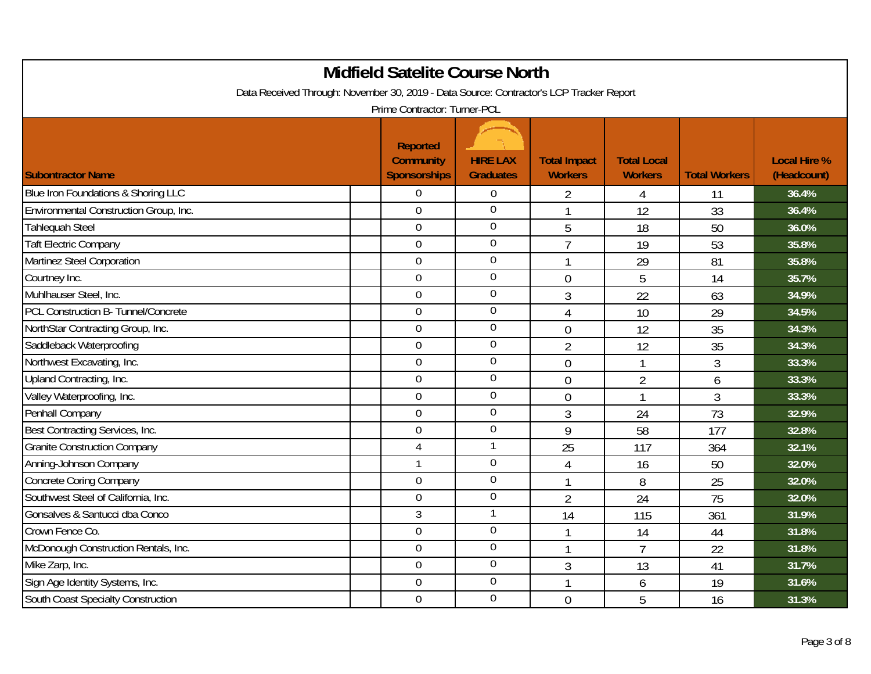| <b>Midfield Satelite Course North</b><br>Data Received Through: November 30, 2019 - Data Source: Contractor's LCP Tracker Report |  |                                                            |                                     |                                       |                                      |                      |                                    |  |
|----------------------------------------------------------------------------------------------------------------------------------|--|------------------------------------------------------------|-------------------------------------|---------------------------------------|--------------------------------------|----------------------|------------------------------------|--|
|                                                                                                                                  |  | Prime Contractor: Turner-PCL                               |                                     |                                       |                                      |                      |                                    |  |
| <b>Subontractor Name</b>                                                                                                         |  | <b>Reported</b><br><b>Community</b><br><b>Sponsorships</b> | <b>HIRE LAX</b><br><b>Graduates</b> | <b>Total Impact</b><br><b>Workers</b> | <b>Total Local</b><br><b>Workers</b> | <b>Total Workers</b> | <b>Local Hire %</b><br>(Headcount) |  |
| Blue Iron Foundations & Shoring LLC                                                                                              |  | $\overline{0}$                                             | $\overline{0}$                      | 2                                     | 4                                    | 11                   | 36.4%                              |  |
| Environmental Construction Group, Inc.                                                                                           |  | $\overline{0}$                                             | $\overline{0}$                      | $\mathbf{1}$                          | 12                                   | 33                   | 36.4%                              |  |
| Tahlequah Steel                                                                                                                  |  | $\overline{0}$                                             | $\overline{0}$                      | 5                                     | 18                                   | 50                   | 36.0%                              |  |
| <b>Taft Electric Company</b>                                                                                                     |  | $\overline{0}$                                             | $\overline{0}$                      | $\overline{7}$                        | 19                                   | 53                   | 35.8%                              |  |
| Martinez Steel Corporation                                                                                                       |  | $\overline{0}$                                             | $\mathbf 0$                         | 1                                     | 29                                   | 81                   | 35.8%                              |  |
| Courtney Inc.                                                                                                                    |  | $\overline{0}$                                             | $\overline{0}$                      | $\overline{0}$                        | 5                                    | 14                   | 35.7%                              |  |
| Muhlhauser Steel, Inc.                                                                                                           |  | $\overline{0}$                                             | $\mathbf 0$                         | 3                                     | 22                                   | 63                   | 34.9%                              |  |
| PCL Construction B- Tunnel/Concrete                                                                                              |  | $\overline{0}$                                             | $\overline{0}$                      | $\overline{4}$                        | 10                                   | 29                   | 34.5%                              |  |
| NorthStar Contracting Group, Inc.                                                                                                |  | $\mathbf 0$                                                | $\boldsymbol{0}$                    | $\overline{0}$                        | 12                                   | 35                   | 34.3%                              |  |
| Saddleback Waterproofing                                                                                                         |  | $\overline{0}$                                             | $\overline{0}$                      | $\overline{2}$                        | 12                                   | 35                   | 34.3%                              |  |
| Northwest Excavating, Inc.                                                                                                       |  | $\overline{0}$                                             | $\mathbf 0$                         | $\overline{0}$                        | 1                                    | 3                    | 33.3%                              |  |
| Upland Contracting, Inc.                                                                                                         |  | $\Omega$                                                   | $\boldsymbol{0}$                    | $\overline{0}$                        | $\overline{2}$                       | 6                    | 33.3%                              |  |
| Valley Waterproofing, Inc.                                                                                                       |  | $\overline{0}$                                             | $\mathbf 0$                         | $\overline{0}$                        | $\mathbf{1}$                         | 3                    | 33.3%                              |  |
| Penhall Company                                                                                                                  |  | $\overline{0}$                                             | $\overline{0}$                      | 3                                     | 24                                   | 73                   | 32.9%                              |  |
| Best Contracting Services, Inc.                                                                                                  |  | $\overline{0}$                                             | $\boldsymbol{0}$                    | 9                                     | 58                                   | 177                  | 32.8%                              |  |
| <b>Granite Construction Company</b>                                                                                              |  | $\overline{4}$                                             | $\mathbf{1}$                        | 25                                    | 117                                  | 364                  | 32.1%                              |  |
| Anning-Johnson Company                                                                                                           |  | $\mathbf{1}$                                               | $\overline{0}$                      | $\overline{4}$                        | 16                                   | 50                   | 32.0%                              |  |
| <b>Concrete Coring Company</b>                                                                                                   |  | $\overline{0}$                                             | $\mathbf 0$                         | 1                                     | 8                                    | 25                   | 32.0%                              |  |
| Southwest Steel of California, Inc.                                                                                              |  | $\overline{0}$                                             | $\mathbf 0$                         | $\overline{2}$                        | 24                                   | 75                   | 32.0%                              |  |
| Gonsalves & Santucci dba Conco                                                                                                   |  | 3                                                          | $\mathbf{1}$                        | 14                                    | 115                                  | 361                  | 31.9%                              |  |
| Crown Fence Co.                                                                                                                  |  | $\overline{0}$                                             | $\mathbf 0$                         | 1                                     | 14                                   | 44                   | 31.8%                              |  |
| McDonough Construction Rentals, Inc.                                                                                             |  | $\overline{0}$                                             | $\mathbf 0$                         | 1                                     | $\overline{7}$                       | 22                   | 31.8%                              |  |
| Mike Zarp, Inc.                                                                                                                  |  | $\overline{0}$                                             | $\mathbf 0$                         | 3                                     | 13                                   | 41                   | 31.7%                              |  |
| Sign Age Identity Systems, Inc.                                                                                                  |  | $\overline{0}$                                             | $\overline{0}$                      | 1                                     | 6                                    | 19                   | 31.6%                              |  |
| <b>South Coast Specialty Construction</b>                                                                                        |  | $\mathbf 0$                                                | $\overline{0}$                      | $\overline{0}$                        | 5                                    | 16                   | 31.3%                              |  |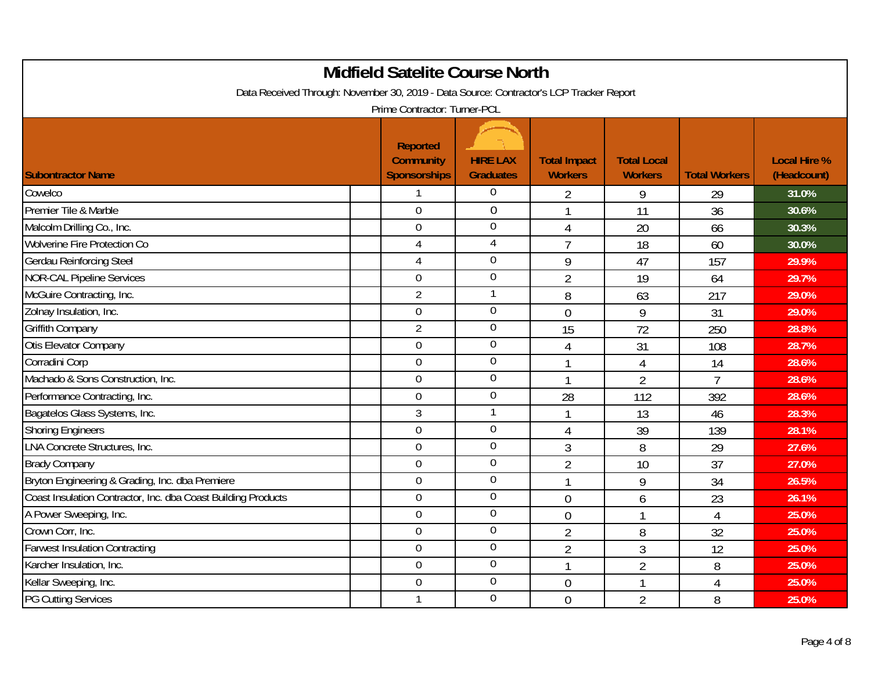| <b>Midfield Satelite Course North</b>                                                                                   |                                                            |                                     |                                       |                                      |                      |                                    |  |  |  |
|-------------------------------------------------------------------------------------------------------------------------|------------------------------------------------------------|-------------------------------------|---------------------------------------|--------------------------------------|----------------------|------------------------------------|--|--|--|
| Data Received Through: November 30, 2019 - Data Source: Contractor's LCP Tracker Report<br>Prime Contractor: Turner-PCL |                                                            |                                     |                                       |                                      |                      |                                    |  |  |  |
| <b>Subontractor Name</b>                                                                                                | <b>Reported</b><br><b>Community</b><br><b>Sponsorships</b> | <b>HIRE LAX</b><br><b>Graduates</b> | <b>Total Impact</b><br><b>Workers</b> | <b>Total Local</b><br><b>Workers</b> | <b>Total Workers</b> | <b>Local Hire %</b><br>(Headcount) |  |  |  |
| Cowelco                                                                                                                 | 1                                                          | $\mathbf 0$                         | $\overline{2}$                        | 9                                    | 29                   | 31.0%                              |  |  |  |
| Premier Tile & Marble                                                                                                   | $\overline{0}$                                             | $\overline{0}$                      | 1                                     | 11                                   | 36                   | 30.6%                              |  |  |  |
| Malcolm Drilling Co., Inc.                                                                                              | $\mathbf 0$                                                | $\overline{0}$                      | $\overline{4}$                        | 20                                   | 66                   | 30.3%                              |  |  |  |
| <b>Wolverine Fire Protection Co</b>                                                                                     | 4                                                          | $\overline{4}$                      | $\overline{7}$                        | 18                                   | 60                   | 30.0%                              |  |  |  |
| <b>Gerdau Reinforcing Steel</b>                                                                                         | $\overline{4}$                                             | $\boldsymbol{0}$                    | 9                                     | 47                                   | 157                  | 29.9%                              |  |  |  |
| <b>NOR-CAL Pipeline Services</b>                                                                                        | $\overline{0}$                                             | $\overline{0}$                      | $\overline{2}$                        | 19                                   | 64                   | 29.7%                              |  |  |  |
| McGuire Contracting, Inc.                                                                                               | $\overline{2}$                                             | $\mathbf{1}$                        | 8                                     | 63                                   | 217                  | 29.0%                              |  |  |  |
| Zolnay Insulation, Inc.                                                                                                 | $\overline{0}$                                             | $\boldsymbol{0}$                    | $\overline{0}$                        | 9                                    | 31                   | 29.0%                              |  |  |  |
| <b>Griffith Company</b>                                                                                                 | $\overline{2}$                                             | $\boldsymbol{0}$                    | 15                                    | 72                                   | 250                  | 28.8%                              |  |  |  |
| Otis Elevator Company                                                                                                   | $\overline{0}$                                             | $\overline{0}$                      | $\overline{4}$                        | 31                                   | 108                  | 28.7%                              |  |  |  |
| Corradini Corp                                                                                                          | $\overline{0}$                                             | $\boldsymbol{0}$                    |                                       | $\sqrt{4}$                           | 14                   | 28.6%                              |  |  |  |
| Machado & Sons Construction, Inc.                                                                                       | $\mathbf 0$                                                | $\mathbf 0$                         | 1                                     | $\overline{2}$                       | $\overline{7}$       | 28.6%                              |  |  |  |
| Performance Contracting, Inc.                                                                                           | $\overline{0}$                                             | $\overline{0}$                      | 28                                    | 112                                  | 392                  | 28.6%                              |  |  |  |
| Bagatelos Glass Systems, Inc.                                                                                           | 3                                                          | 1                                   | 1                                     | 13                                   | 46                   | 28.3%                              |  |  |  |
| <b>Shoring Engineers</b>                                                                                                | $\overline{0}$                                             | $\boldsymbol{0}$                    | $\overline{4}$                        | 39                                   | 139                  | 28.1%                              |  |  |  |
| LNA Concrete Structures, Inc.                                                                                           | $\overline{0}$                                             | $\boldsymbol{0}$                    | $\overline{3}$                        | 8                                    | 29                   | 27.6%                              |  |  |  |
| <b>Brady Company</b>                                                                                                    | $\overline{0}$                                             | $\mathbf 0$                         | $\overline{2}$                        | 10                                   | 37                   | 27.0%                              |  |  |  |
| Bryton Engineering & Grading, Inc. dba Premiere                                                                         | $\overline{0}$                                             | $\boldsymbol{0}$                    | $\mathbf{1}$                          | 9                                    | 34                   | 26.5%                              |  |  |  |
| Coast Insulation Contractor, Inc. dba Coast Building Products                                                           | $\mathbf 0$                                                | $\boldsymbol{0}$                    | $\overline{0}$                        | 6                                    | 23                   | 26.1%                              |  |  |  |
| A Power Sweeping, Inc.                                                                                                  | $\overline{0}$                                             | $\mathbf 0$                         | $\overline{0}$                        | $\mathbf{1}$                         | $\overline{4}$       | 25.0%                              |  |  |  |
| Crown Corr, Inc.                                                                                                        | $\mathbf 0$                                                | $\overline{0}$                      | $\overline{2}$                        | 8                                    | 32                   | 25.0%                              |  |  |  |
| <b>Farwest Insulation Contracting</b>                                                                                   | $\boldsymbol{0}$                                           | $\overline{0}$                      | $\overline{2}$                        | 3                                    | 12                   | 25.0%                              |  |  |  |
| Karcher Insulation, Inc.                                                                                                | $\mathbf 0$                                                | $\boldsymbol{0}$                    | 1                                     | $\overline{2}$                       | 8                    | 25.0%                              |  |  |  |
| Kellar Sweeping, Inc.                                                                                                   | $\overline{0}$                                             | $\overline{0}$                      | $\overline{0}$                        | $\mathbf{1}$                         | 4                    | 25.0%                              |  |  |  |
| <b>PG Cutting Services</b>                                                                                              | 1                                                          | $\overline{0}$                      | $\overline{0}$                        | $\overline{2}$                       | 8                    | 25.0%                              |  |  |  |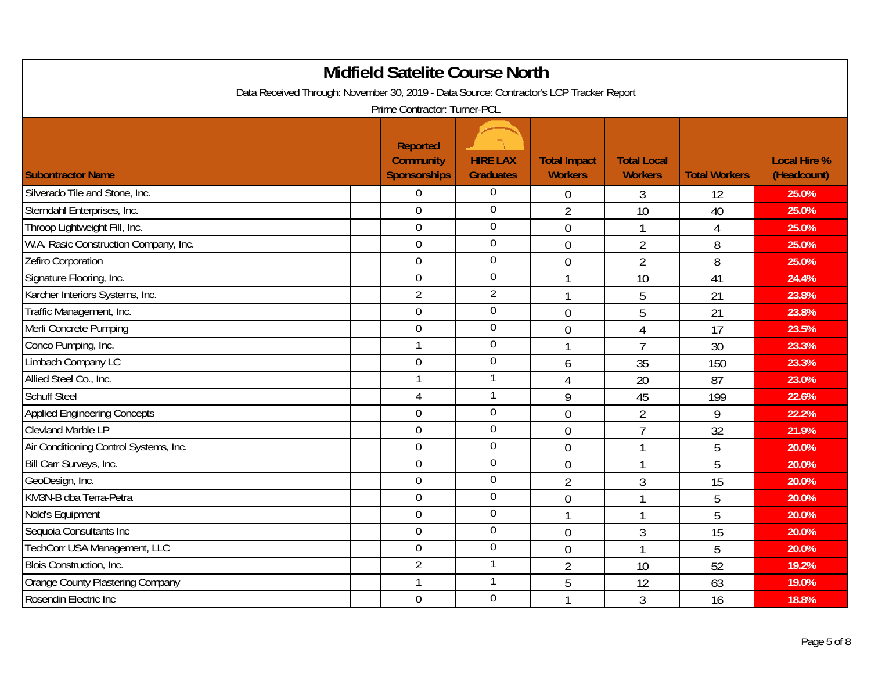| <b>Midfield Satelite Course North</b><br>Data Received Through: November 30, 2019 - Data Source: Contractor's LCP Tracker Report |                                                            |                                     |                                       |                                      |                      |                                    |  |  |
|----------------------------------------------------------------------------------------------------------------------------------|------------------------------------------------------------|-------------------------------------|---------------------------------------|--------------------------------------|----------------------|------------------------------------|--|--|
|                                                                                                                                  | Prime Contractor: Turner-PCL                               |                                     |                                       |                                      |                      |                                    |  |  |
| <b>Subontractor Name</b>                                                                                                         | <b>Reported</b><br><b>Community</b><br><b>Sponsorships</b> | <b>HIRE LAX</b><br><b>Graduates</b> | <b>Total Impact</b><br><b>Workers</b> | <b>Total Local</b><br><b>Workers</b> | <b>Total Workers</b> | <b>Local Hire %</b><br>(Headcount) |  |  |
| Silverado Tile and Stone, Inc.                                                                                                   | 0                                                          | $\boldsymbol{0}$                    | $\boldsymbol{0}$                      | 3                                    | 12                   | 25.0%                              |  |  |
| Sterndahl Enterprises, Inc.                                                                                                      | $\overline{0}$                                             | $\mathbf 0$                         | $\overline{2}$                        | 10                                   | 40                   | 25.0%                              |  |  |
| Throop Lightweight Fill, Inc.                                                                                                    | $\overline{0}$                                             | $\overline{0}$                      | $\overline{0}$                        | $\mathbf{1}$                         | $\overline{4}$       | 25.0%                              |  |  |
| W.A. Rasic Construction Company, Inc.                                                                                            | $\overline{0}$                                             | $\mathbf 0$                         | $\mathbf 0$                           | $\overline{2}$                       | 8                    | 25.0%                              |  |  |
| Zefiro Corporation                                                                                                               | $\overline{0}$                                             | $\mathbf 0$                         | $\overline{0}$                        | $\overline{2}$                       | 8                    | 25.0%                              |  |  |
| Signature Flooring, Inc.                                                                                                         | $\overline{0}$                                             | $\mathbf 0$                         | 1                                     | 10                                   | 41                   | 24.4%                              |  |  |
| Karcher Interiors Systems, Inc.                                                                                                  | 2                                                          | $\overline{2}$                      | 1                                     | 5                                    | 21                   | 23.8%                              |  |  |
| Traffic Management, Inc.                                                                                                         | $\overline{0}$                                             | $\boldsymbol{0}$                    | $\mathbf 0$                           | 5                                    | 21                   | 23.8%                              |  |  |
| Merli Concrete Pumping                                                                                                           | $\mathbf 0$                                                | $\boldsymbol{0}$                    | $\overline{0}$                        | $\overline{4}$                       | 17                   | 23.5%                              |  |  |
| Conco Pumping, Inc.                                                                                                              | $\mathbf{1}$                                               | $\mathbf 0$                         | 1                                     | $\overline{7}$                       | 30                   | 23.3%                              |  |  |
| Limbach Company LC                                                                                                               | 0                                                          | $\boldsymbol{0}$                    | 6                                     | 35                                   | 150                  | 23.3%                              |  |  |
| Allied Steel Co., Inc.                                                                                                           | $\mathbf{1}$                                               | 1                                   | $\overline{4}$                        | 20                                   | 87                   | 23.0%                              |  |  |
| <b>Schuff Steel</b>                                                                                                              | $\overline{4}$                                             | $\mathbf{1}$                        | 9                                     | 45                                   | 199                  | 22.6%                              |  |  |
| <b>Applied Engineering Concepts</b>                                                                                              | $\overline{0}$                                             | $\mathbf 0$                         | $\mathbf 0$                           | $\overline{2}$                       | 9                    | 22.2%                              |  |  |
| <b>Clevland Marble LP</b>                                                                                                        | $\overline{0}$                                             | $\boldsymbol{0}$                    | $\overline{0}$                        | $\overline{7}$                       | 32                   | 21.9%                              |  |  |
| Air Conditioning Control Systems, Inc.                                                                                           | $\overline{0}$                                             | $\boldsymbol{0}$                    | $\overline{0}$                        | $\mathbf{1}$                         | 5                    | 20.0%                              |  |  |
| Bill Carr Surveys, Inc.                                                                                                          | $\overline{0}$                                             | $\mathbf 0$                         | $\overline{0}$                        | 1                                    | 5                    | 20.0%                              |  |  |
| GeoDesign, Inc.                                                                                                                  | $\overline{0}$                                             | $\boldsymbol{0}$                    | $\overline{2}$                        | 3                                    | 15                   | 20.0%                              |  |  |
| KM3N-B dba Terra-Petra                                                                                                           | $\overline{0}$                                             | $\mathbf 0$                         | $\overline{0}$                        | 1                                    | 5                    | 20.0%                              |  |  |
| Nold's Equipment                                                                                                                 | $\overline{0}$                                             | $\boldsymbol{0}$                    | 1                                     | $\mathbf{1}$                         | 5                    | 20.0%                              |  |  |
| Sequoia Consultants Inc                                                                                                          | $\overline{0}$                                             | $\mathbf 0$                         | $\overline{0}$                        | 3                                    | 15                   | 20.0%                              |  |  |
| TechCorr USA Management, LLC                                                                                                     | 0                                                          | $\boldsymbol{0}$                    | $\mathbf 0$                           | $\mathbf{1}$                         | 5                    | 20.0%                              |  |  |
| Blois Construction, Inc.                                                                                                         | $\overline{2}$                                             | $\mathbf{1}$                        | $\overline{2}$                        | 10                                   | 52                   | 19.2%                              |  |  |
| Orange County Plastering Company                                                                                                 | $\mathbf{1}$                                               | 1                                   | 5                                     | 12                                   | 63                   | 19.0%                              |  |  |
| Rosendin Electric Inc                                                                                                            | $\mathbf 0$                                                | $\overline{0}$                      | 1                                     | 3                                    | 16                   | 18.8%                              |  |  |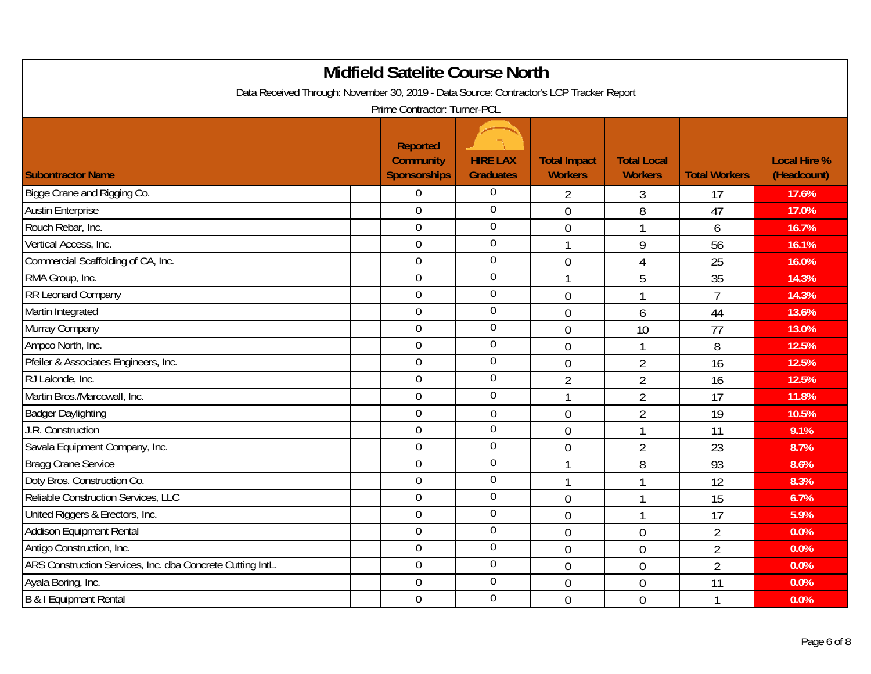| <b>Midfield Satelite Course North</b>                                                                                   |                                                            |                                     |                                       |                                      |                      |                                    |  |  |  |
|-------------------------------------------------------------------------------------------------------------------------|------------------------------------------------------------|-------------------------------------|---------------------------------------|--------------------------------------|----------------------|------------------------------------|--|--|--|
| Data Received Through: November 30, 2019 - Data Source: Contractor's LCP Tracker Report<br>Prime Contractor: Turner-PCL |                                                            |                                     |                                       |                                      |                      |                                    |  |  |  |
| <b>Subontractor Name</b>                                                                                                | <b>Reported</b><br><b>Community</b><br><b>Sponsorships</b> | <b>HIRE LAX</b><br><b>Graduates</b> | <b>Total Impact</b><br><b>Workers</b> | <b>Total Local</b><br><b>Workers</b> | <b>Total Workers</b> | <b>Local Hire %</b><br>(Headcount) |  |  |  |
| Bigge Crane and Rigging Co.                                                                                             | $\boldsymbol{0}$                                           | $\boldsymbol{0}$                    | 2                                     | 3                                    | 17                   | 17.6%                              |  |  |  |
| <b>Austin Enterprise</b>                                                                                                | $\overline{0}$                                             | $\overline{0}$                      | $\overline{0}$                        | 8                                    | 47                   | 17.0%                              |  |  |  |
| Rouch Rebar, Inc.                                                                                                       | $\overline{0}$                                             | $\overline{0}$                      | $\overline{0}$                        | 1                                    | 6                    | 16.7%                              |  |  |  |
| Vertical Access, Inc.                                                                                                   | $\overline{0}$                                             | $\overline{0}$                      | 1                                     | 9                                    | 56                   | 16.1%                              |  |  |  |
| Commercial Scaffolding of CA, Inc.                                                                                      | $\overline{0}$                                             | $\mathbf 0$                         | $\mathbf 0$                           | $\overline{4}$                       | 25                   | 16.0%                              |  |  |  |
| RMA Group, Inc.                                                                                                         | $\overline{0}$                                             | $\overline{0}$                      | 1                                     | 5                                    | 35                   | 14.3%                              |  |  |  |
| RR Leonard Company                                                                                                      | $\mathbf 0$                                                | $\boldsymbol{0}$                    | $\mathbf 0$                           | $\mathbf{1}$                         | $\overline{7}$       | 14.3%                              |  |  |  |
| Martin Integrated                                                                                                       | $\mathbf 0$                                                | $\boldsymbol{0}$                    | $\overline{0}$                        | 6                                    | 44                   | 13.6%                              |  |  |  |
| Murray Company                                                                                                          | $\overline{0}$                                             | $\boldsymbol{0}$                    | $\overline{0}$                        | 10                                   | 77                   | 13.0%                              |  |  |  |
| Ampco North, Inc.                                                                                                       | $\overline{0}$                                             | $\mathbf 0$                         | $\overline{0}$                        | 1                                    | 8                    | 12.5%                              |  |  |  |
| Pfeiler & Associates Engineers, Inc.                                                                                    | $\mathbf 0$                                                | $\mathbf 0$                         | $\mathbf 0$                           | $\overline{2}$                       | 16                   | 12.5%                              |  |  |  |
| RJ Lalonde, Inc.                                                                                                        | $\overline{0}$                                             | $\mathbf 0$                         | $\overline{2}$                        | $\overline{2}$                       | 16                   | 12.5%                              |  |  |  |
| Martin Bros./Marcowall, Inc.                                                                                            | $\overline{0}$                                             | $\overline{0}$                      | $\mathbf{1}$                          | $\overline{2}$                       | 17                   | 11.8%                              |  |  |  |
| <b>Badger Daylighting</b>                                                                                               | $\overline{0}$                                             | $\boldsymbol{0}$                    | $\mathbf 0$                           | $\overline{2}$                       | 19                   | 10.5%                              |  |  |  |
| J.R. Construction                                                                                                       | $\overline{0}$                                             | $\overline{0}$                      | $\overline{0}$                        | 1                                    | 11                   | 9.1%                               |  |  |  |
| Savala Equipment Company, Inc.                                                                                          | $\overline{0}$                                             | $\boldsymbol{0}$                    | $\overline{0}$                        | $\overline{2}$                       | 23                   | 8.7%                               |  |  |  |
| <b>Bragg Crane Service</b>                                                                                              | $\overline{0}$                                             | $\overline{0}$                      | 1                                     | 8                                    | 93                   | 8.6%                               |  |  |  |
| Doty Bros. Construction Co.                                                                                             | $\mathbf 0$                                                | $\mathbf 0$                         | 1                                     | 1                                    | 12                   | 8.3%                               |  |  |  |
| Reliable Construction Services, LLC                                                                                     | $\Omega$                                                   | $\mathbf 0$                         | $\overline{0}$                        | 1                                    | 15                   | 6.7%                               |  |  |  |
| United Riggers & Erectors, Inc.                                                                                         | $\overline{0}$                                             | $\boldsymbol{0}$                    | $\overline{0}$                        | 1                                    | 17                   | 5.9%                               |  |  |  |
| <b>Addison Equipment Rental</b>                                                                                         | $\overline{0}$                                             | $\overline{0}$                      | $\mathbf 0$                           | $\mathbf 0$                          | $\overline{2}$       | 0.0%                               |  |  |  |
| Antigo Construction, Inc.                                                                                               | $\mathbf 0$                                                | $\boldsymbol{0}$                    | $\mathbf 0$                           | $\mathbf 0$                          | $\overline{2}$       | 0.0%                               |  |  |  |
| ARS Construction Services, Inc. dba Concrete Cutting IntL.                                                              | $\overline{0}$                                             | $\mathbf 0$                         | $\overline{0}$                        | $\mathbf 0$                          | $\overline{2}$       | 0.0%                               |  |  |  |
| Ayala Boring, Inc.                                                                                                      | $\overline{0}$                                             | $\overline{0}$                      | $\overline{0}$                        | 0                                    | 11                   | 0.0%                               |  |  |  |
| B & I Equipment Rental                                                                                                  | $\boldsymbol{0}$                                           | $\overline{0}$                      | $\overline{0}$                        | 0                                    | 1                    | 0.0%                               |  |  |  |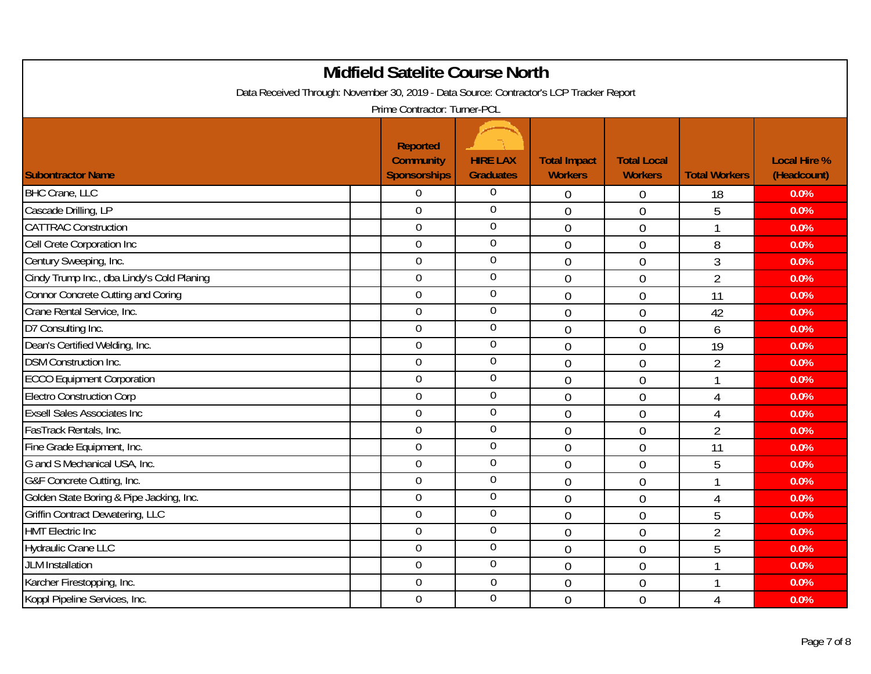| <b>Midfield Satelite Course North</b>                                                                                   |                                                            |                                     |                                       |                                      |                      |                                    |  |  |  |
|-------------------------------------------------------------------------------------------------------------------------|------------------------------------------------------------|-------------------------------------|---------------------------------------|--------------------------------------|----------------------|------------------------------------|--|--|--|
| Data Received Through: November 30, 2019 - Data Source: Contractor's LCP Tracker Report<br>Prime Contractor: Turner-PCL |                                                            |                                     |                                       |                                      |                      |                                    |  |  |  |
| <b>Subontractor Name</b>                                                                                                | <b>Reported</b><br><b>Community</b><br><b>Sponsorships</b> | <b>HIRE LAX</b><br><b>Graduates</b> | <b>Total Impact</b><br><b>Workers</b> | <b>Total Local</b><br><b>Workers</b> | <b>Total Workers</b> | <b>Local Hire %</b><br>(Headcount) |  |  |  |
| <b>BHC Crane, LLC</b>                                                                                                   | $\overline{0}$                                             | 0                                   | $\mathbf 0$                           | 0                                    | 18                   | 0.0%                               |  |  |  |
| Cascade Drilling, LP                                                                                                    | $\overline{0}$                                             | $\overline{0}$                      | $\overline{0}$                        | 0                                    | 5                    | 0.0%                               |  |  |  |
| <b>CATTRAC Construction</b>                                                                                             | $\overline{0}$                                             | $\overline{0}$                      | $\mathbf 0$                           | $\mathbf 0$                          | 1                    | 0.0%                               |  |  |  |
| Cell Crete Corporation Inc                                                                                              | $\mathbf 0$                                                | $\overline{0}$                      | $\overline{0}$                        | $\mathbf 0$                          | 8                    | 0.0%                               |  |  |  |
| Century Sweeping, Inc.                                                                                                  | $\overline{0}$                                             | $\mathbf 0$                         | $\overline{0}$                        | 0                                    | 3                    | 0.0%                               |  |  |  |
| Cindy Trump Inc., dba Lindy's Cold Planing                                                                              | $\overline{0}$                                             | $\overline{0}$                      | $\overline{0}$                        | 0                                    | $\overline{2}$       | 0.0%                               |  |  |  |
| <b>Connor Concrete Cutting and Coring</b>                                                                               | $\mathbf 0$                                                | $\boldsymbol{0}$                    | $\mathbf 0$                           | $\mathbf 0$                          | 11                   | 0.0%                               |  |  |  |
| Crane Rental Service, Inc.                                                                                              | $\mathbf 0$                                                | $\boldsymbol{0}$                    | $\overline{0}$                        | $\overline{0}$                       | 42                   | 0.0%                               |  |  |  |
| D7 Consulting Inc.                                                                                                      | $\overline{0}$                                             | $\boldsymbol{0}$                    | $\overline{0}$                        | $\overline{0}$                       | 6                    | 0.0%                               |  |  |  |
| Dean's Certified Welding, Inc.                                                                                          | $\overline{0}$                                             | $\mathbf 0$                         | $\overline{0}$                        | $\overline{0}$                       | 19                   | 0.0%                               |  |  |  |
| <b>DSM Construction Inc.</b>                                                                                            | $\overline{0}$                                             | $\mathbf 0$                         | $\mathbf 0$                           | $\mathbf 0$                          | $\overline{2}$       | 0.0%                               |  |  |  |
| <b>ECCO Equipment Corporation</b>                                                                                       | $\overline{0}$                                             | $\mathbf 0$                         | $\overline{0}$                        | $\overline{0}$                       | 1                    | 0.0%                               |  |  |  |
| <b>Electro Construction Corp</b>                                                                                        | $\overline{0}$                                             | $\boldsymbol{0}$                    | $\overline{0}$                        | 0                                    | $\overline{4}$       | 0.0%                               |  |  |  |
| <b>Exsell Sales Associates Inc</b>                                                                                      | $\overline{0}$                                             | $\mathbf 0$                         | $\overline{0}$                        | $\mathbf 0$                          | $\overline{4}$       | 0.0%                               |  |  |  |
| FasTrack Rentals, Inc.                                                                                                  | $\mathbf 0$                                                | $\boldsymbol{0}$                    | $\mathbf 0$                           | $\mathbf 0$                          | $\overline{2}$       | 0.0%                               |  |  |  |
| Fine Grade Equipment, Inc.                                                                                              | $\mathbf 0$                                                | $\boldsymbol{0}$                    | $\overline{0}$                        | $\overline{0}$                       | 11                   | 0.0%                               |  |  |  |
| G and S Mechanical USA, Inc.                                                                                            | $\overline{0}$                                             | $\boldsymbol{0}$                    | $\overline{0}$                        | $\overline{0}$                       | 5                    | 0.0%                               |  |  |  |
| G&F Concrete Cutting, Inc.                                                                                              | $\overline{0}$                                             | $\boldsymbol{0}$                    | $\overline{0}$                        | $\overline{0}$                       |                      | 0.0%                               |  |  |  |
| Golden State Boring & Pipe Jacking, Inc.                                                                                | $\overline{0}$                                             | 0                                   | $\overline{0}$                        | $\overline{0}$                       | 4                    | 0.0%                               |  |  |  |
| Griffin Contract Dewatering, LLC                                                                                        | $\overline{0}$                                             | $\boldsymbol{0}$                    | $\overline{0}$                        | 0                                    | 5                    | 0.0%                               |  |  |  |
| <b>HMT Electric Inc</b>                                                                                                 | $\mathbf 0$                                                | $\overline{0}$                      | $\overline{0}$                        | $\mathbf 0$                          | $\overline{2}$       | 0.0%                               |  |  |  |
| <b>Hydraulic Crane LLC</b>                                                                                              | $\overline{0}$                                             | $\boldsymbol{0}$                    | $\mathbf 0$                           | $\mathbf 0$                          | 5                    | 0.0%                               |  |  |  |
| <b>JLM Installation</b>                                                                                                 | $\mathbf 0$                                                | $\boldsymbol{0}$                    | $\overline{0}$                        | 0                                    | 1                    | 0.0%                               |  |  |  |
| Karcher Firestopping, Inc.                                                                                              | $\overline{0}$                                             | $\overline{0}$                      | $\mathbf 0$                           | $\overline{0}$                       |                      | 0.0%                               |  |  |  |
| Koppl Pipeline Services, Inc.                                                                                           | $\mathbf 0$                                                | $\overline{0}$                      | $\overline{0}$                        | $\overline{0}$                       | 4                    | 0.0%                               |  |  |  |